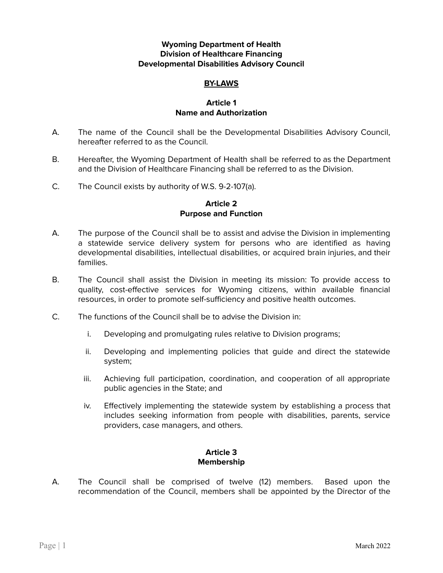## **Wyoming Department of Health Division of Healthcare Financing Developmental Disabilities Advisory Council**

## **BY-LAWS**

#### **Article 1 Name and Authorization**

- A. The name of the Council shall be the Developmental Disabilities Advisory Council, hereafter referred to as the Council.
- B. Hereafter, the Wyoming Department of Health shall be referred to as the Department and the Division of Healthcare Financing shall be referred to as the Division.
- C. The Council exists by authority of W.S. 9-2-107(a).

## **Article 2 Purpose and Function**

- A. The purpose of the Council shall be to assist and advise the Division in implementing a statewide service delivery system for persons who are identified as having developmental disabilities, intellectual disabilities, or acquired brain injuries, and their families.
- B. The Council shall assist the Division in meeting its mission: To provide access to quality, cost-effective services for Wyoming citizens, within available financial resources, in order to promote self-sufficiency and positive health outcomes.
- C. The functions of the Council shall be to advise the Division in:
	- i. Developing and promulgating rules relative to Division programs;
	- ii. Developing and implementing policies that guide and direct the statewide system;
	- iii. Achieving full participation, coordination, and cooperation of all appropriate public agencies in the State; and
	- iv. Effectively implementing the statewide system by establishing a process that includes seeking information from people with disabilities, parents, service providers, case managers, and others.

## **Article 3 Membership**

A. The Council shall be comprised of twelve (12) members. Based upon the recommendation of the Council, members shall be appointed by the Director of the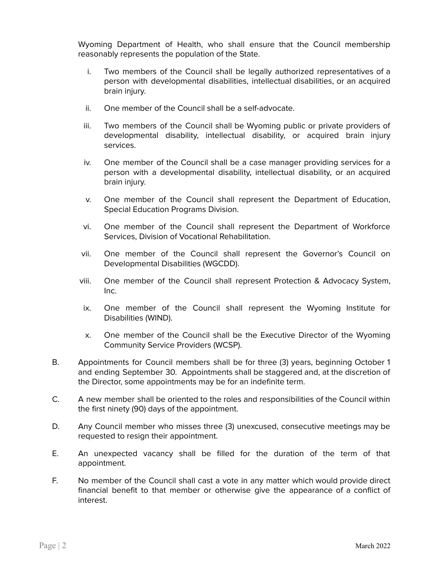Wyoming Department of Health, who shall ensure that the Council membership reasonably represents the population of the State.

- i. Two members of the Council shall be legally authorized representatives of a person with developmental disabilities, intellectual disabilities, or an acquired brain injury.
- ii. One member of the Council shall be a self-advocate.
- iii. Two members of the Council shall be Wyoming public or private providers of developmental disability, intellectual disability, or acquired brain injury services.
- iv. One member of the Council shall be a case manager providing services for a person with a developmental disability, intellectual disability, or an acquired brain injury.
- v. One member of the Council shall represent the Department of Education, Special Education Programs Division.
- vi. One member of the Council shall represent the Department of Workforce Services, Division of Vocational Rehabilitation.
- vii. One member of the Council shall represent the Governor's Council on Developmental Disabilities (WGCDD).
- viii. One member of the Council shall represent Protection & Advocacy System, Inc.
- ix. One member of the Council shall represent the Wyoming Institute for Disabilities (WIND).
- x. One member of the Council shall be the Executive Director of the Wyoming Community Service Providers (WCSP).
- B. Appointments for Council members shall be for three (3) years, beginning October 1 and ending September 30. Appointments shall be staggered and, at the discretion of the Director, some appointments may be for an indefinite term.
- C. A new member shall be oriented to the roles and responsibilities of the Council within the first ninety (90) days of the appointment.
- D. Any Council member who misses three (3) unexcused, consecutive meetings may be requested to resign their appointment.
- E. An unexpected vacancy shall be filled for the duration of the term of that appointment.
- F. No member of the Council shall cast a vote in any matter which would provide direct financial benefit to that member or otherwise give the appearance of a conflict of interest.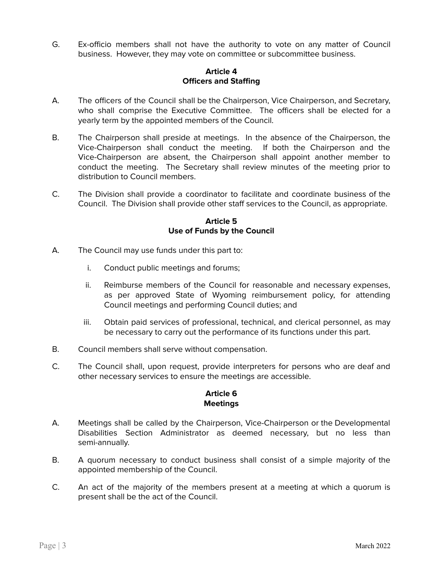G. Ex-officio members shall not have the authority to vote on any matter of Council business. However, they may vote on committee or subcommittee business.

## **Article 4 Officers and Staffing**

- A. The officers of the Council shall be the Chairperson, Vice Chairperson, and Secretary, who shall comprise the Executive Committee. The officers shall be elected for a yearly term by the appointed members of the Council.
- B. The Chairperson shall preside at meetings. In the absence of the Chairperson, the Vice-Chairperson shall conduct the meeting. If both the Chairperson and the Vice-Chairperson are absent, the Chairperson shall appoint another member to conduct the meeting. The Secretary shall review minutes of the meeting prior to distribution to Council members.
- C. The Division shall provide a coordinator to facilitate and coordinate business of the Council. The Division shall provide other staff services to the Council, as appropriate.

## **Article 5 Use of Funds by the Council**

- A. The Council may use funds under this part to:
	- i. Conduct public meetings and forums;
	- ii. Reimburse members of the Council for reasonable and necessary expenses, as per approved State of Wyoming reimbursement policy, for attending Council meetings and performing Council duties; and
	- iii. Obtain paid services of professional, technical, and clerical personnel, as may be necessary to carry out the performance of its functions under this part.
- B. Council members shall serve without compensation.
- C. The Council shall, upon request, provide interpreters for persons who are deaf and other necessary services to ensure the meetings are accessible.

# **Article 6 Meetings**

- A. Meetings shall be called by the Chairperson, Vice-Chairperson or the Developmental Disabilities Section Administrator as deemed necessary, but no less than semi-annually.
- B. A quorum necessary to conduct business shall consist of a simple majority of the appointed membership of the Council.
- C. An act of the majority of the members present at a meeting at which a quorum is present shall be the act of the Council.